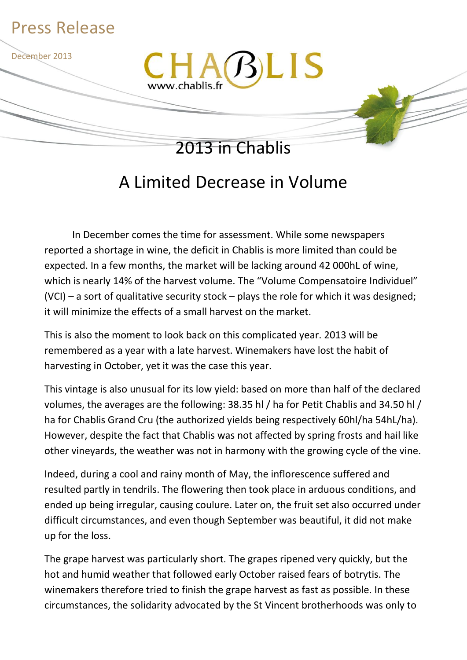

## A Limited Decrease in Volume

In December comes the time for assessment. While some newspapers reported a shortage in wine, the deficit in Chablis is more limited than could be expected. In a few months, the market will be lacking around 42 000hL of wine, which is nearly 14% of the harvest volume. The "Volume Compensatoire Individuel" (VCI) – a sort of qualitative security stock – plays the role for which it was designed; it will minimize the effects of a small harvest on the market.

This is also the moment to look back on this complicated year. 2013 will be remembered as a year with a late harvest. Winemakers have lost the habit of harvesting in October, yet it was the case this year.

This vintage is also unusual for its low yield: based on more than half of the declared volumes, the averages are the following: 38.35 hl / ha for Petit Chablis and 34.50 hl / ha for Chablis Grand Cru (the authorized yields being respectively 60hl/ha 54hL/ha). However, despite the fact that Chablis was not affected by spring frosts and hail like other vineyards, the weather was not in harmony with the growing cycle of the vine.

Indeed, during a cool and rainy month of May, the inflorescence suffered and resulted partly in tendrils. The flowering then took place in arduous conditions, and ended up being irregular, causing coulure. Later on, the fruit set also occurred under difficult circumstances, and even though September was beautiful, it did not make up for the loss.

The grape harvest was particularly short. The grapes ripened very quickly, but the hot and humid weather that followed early October raised fears of botrytis. The winemakers therefore tried to finish the grape harvest as fast as possible. In these circumstances, the solidarity advocated by the St Vincent brotherhoods was only to